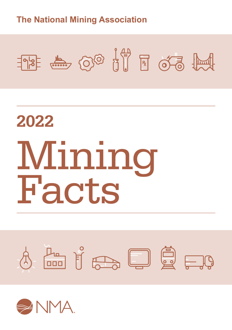#### **The National Mining Association**















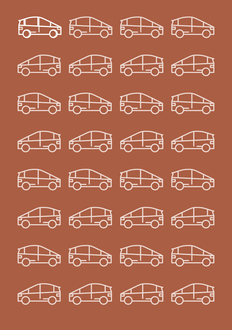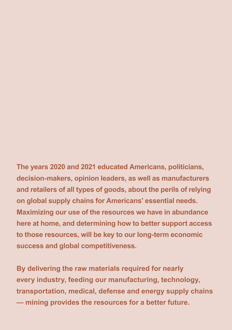**The years 2020 and 2021 educated Americans, politicians, decision-makers, opinion leaders, as well as manufacturers and retailers of all types of goods, about the perils of relying on global supply chains for Americans' essential needs. Maximizing our use of the resources we have in abundance here at home, and determining how to better support access to those resources, will be key to our long-term economic success and global competitiveness.**

**By delivering the raw materials required for nearly every industry, feeding our manufacturing, technology, transportation, medical, defense and energy supply chains — mining provides the resources for a better future.**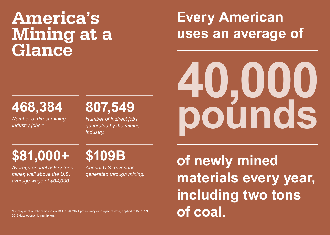### America's Mining at a Glance

### **Every American uses an average of**

**40,000**

**pounds**

### **468,384**

*Number of direct mining industry jobs.\**

### **807,549**

*Number of indirect jobs generated by the mining industry.* 

### **\$81,000+**

*Average annual salary for a miner, well above the U.S. average wage of \$64,000.*

**\$109B** 

*Annual U.S. revenues generated through mining.* **of newly mined materials every year, including two tons of coal.**

\*Employment numbers based on MSHA Q4 2021 preliminary employment data, applied to IMPLAN 2018 data economic multipliers.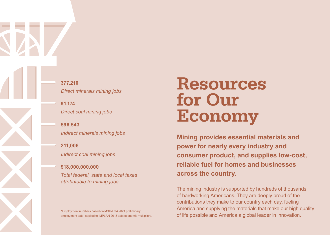**377,210** *Direct minerals mining jobs*

**91,174** *Direct coal mining jobs*

**596,543** *Indirect minerals mining jobs*

**211,006** *Indirect coal mining jobs*

**\$18,000,000,000** *Total federal, state and local taxes attributable to mining jobs*

\*Employment numbers based on MSHA Q4 2021 preliminary employment data, applied to IMPLAN 2018 data economic multipliers.

### Resources for Our Economy

**Mining provides essential materials and power for nearly every industry and consumer product, and supplies low-cost, reliable fuel for homes and businesses across the country.**

The mining industry is supported by hundreds of thousands of hardworking Americans. They are deeply proud of the contributions they make to our country each day, fueling America and supplying the materials that make our high quality of life possible and America a global leader in innovation.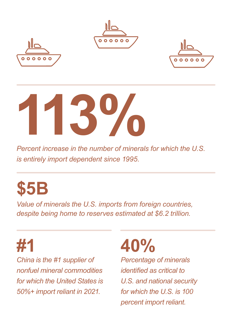







*Percent increase in the number of minerals for which the U.S. is entirely import dependent since 1995.*



*Value of minerals the U.S. imports from foreign countries, despite being home to reserves estimated at \$6.2 trillion.* 

**#1**

*China is the #1 supplier of nonfuel mineral commodities for which the United States is 50%+ import reliant in 2021.*

### **40%**

*Percentage of minerals identified as critical to U.S. and national security for which the U.S. is 100 percent import reliant.*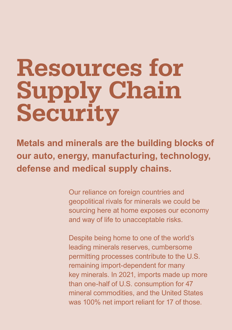### Resources for Supply Chain **Security**

**Metals and minerals are the building blocks of our auto, energy, manufacturing, technology, defense and medical supply chains.**

> Our reliance on foreign countries and geopolitical rivals for minerals we could be sourcing here at home exposes our economy and way of life to unacceptable risks.

> Despite being home to one of the world's leading minerals reserves, cumbersome permitting processes contribute to the U.S. remaining import-dependent for many key minerals. In 2021, imports made up more than one-half of U.S. consumption for 47 mineral commodities, and the United States was 100% net import reliant for 17 of those.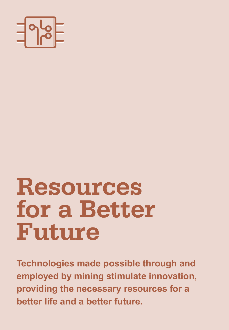

### Resources for a Better Future

**Technologies made possible through and employed by mining stimulate innovation, providing the necessary resources for a better life and a better future.**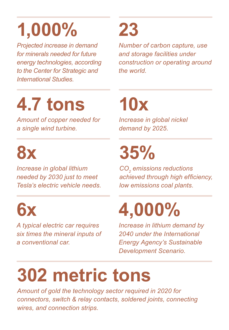### **1,000%**

*Projected increase in demand for minerals needed for future energy technologies, according to the Center for Strategic and International Studies.*

### **4.7 tons**

*Amount of copper needed for a single wind turbine.*

**8x**

*Increase in global lithium needed by 2030 just to meet Tesla's electric vehicle needs.*

**6x**

*A typical electric car requires six times the mineral inputs of a conventional car.* 

### **23**

*Number of carbon capture, use and storage facilities under construction or operating around the world.*

**10x**

*Increase in global nickel demand by 2025.*

### **35%**

*CO2 emissions reductions achieved through high efficiency, low emissions coal plants.*

### **4,000%**

*Increase in lithium demand by 2040 under the International Energy Agency's Sustainable Development Scenario.* 

### **302 metric tons**

*Amount of gold the technology sector required in 2020 for connectors, switch & relay contacts, soldered joints, connecting wires, and connection strips.*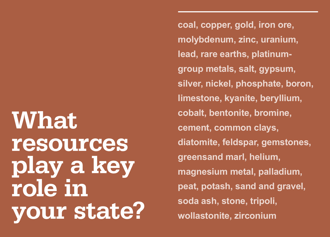## What resources play a key role in your state?

**coal, copper, gold, iron ore, molybdenum, zinc, uranium, lead, rare earths, platinumgroup metals, salt, gypsum, silver, nickel, phosphate, boron, limestone, kyanite, beryllium, cobalt, bentonite, bromine, cement, common clays, diatomite, feldspar, gemstones, greensand marl, helium, magnesium metal, palladium, peat, potash, sand and gravel, soda ash, stone, tripoli, wollastonite, zirconium**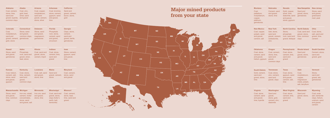

| <b>Alabama</b><br>Coal, cement,<br>stone, lime,<br>sand and<br>gravel, kyanite,<br>common clays | <b>Alaska</b><br>Coal, zinc,<br>gold, lead,<br>silver, sand<br>and gravel                                  | Arizona<br>Coal, copper,<br>molybdenum,<br>sand and<br>gravel, cement,<br>stone, silver | <b>Arkansas</b><br>Coal, bromine,<br>stone, cement,<br>gypsum, sand<br>and gravel,<br>lime              | California<br>Sand and<br>gravel, cement,<br>boron, stone,<br>gold              |
|-------------------------------------------------------------------------------------------------|------------------------------------------------------------------------------------------------------------|-----------------------------------------------------------------------------------------|---------------------------------------------------------------------------------------------------------|---------------------------------------------------------------------------------|
| Colorado<br>Coal.<br>molybdenum,<br>sand and<br>gravel, cement,<br>gold, stone                  | Connecticut<br>Stone, sand<br>and gravel,<br>common clays.<br>gemstones                                    | <b>Delaware</b><br>Stone, sand<br>and gravel,<br>magnesium,<br>gemstones                | <b>Florida</b><br>Phosphate<br>rock, stone,<br>cement, sand<br>and gravel,<br>zirconium                 | Georgia<br>Clays, stone,<br>cement.<br>sand and<br>gravel, barite,<br>gemstones |
| <b>Hawaii</b><br>Stone, sand<br>and gravel,<br>gemstones                                        | Idaho<br>Phosphate<br>rock, sand and<br>gravel, silver,<br>lead, stone                                     | <b>Illinois</b><br>Coal, sand and<br>gravel, stone,<br>cement, tripoli                  | Indiana<br>Coal, stone,<br>cement, lime,<br>sand and<br>gravel                                          | lowa<br>Stone, cement,<br>gypsum, sand<br>and gravel,<br>lime                   |
| <b>Kansas</b><br>Coal, helium,<br>cement, salt,<br>stone, sand<br>and gravel,<br>gypsum         | <b>Kentucky</b><br>Coal, stone,<br>lime, cement,<br>sand and<br>gravel,<br>common clays                    | Louisiana<br>Coal, salt, sand<br>and gravel,<br>stone, lime                             | <b>Maine</b><br>Sand and<br>gravel, cement,<br>stone                                                    | <b>Maryland</b><br>Coal, cement,<br>stone, sand<br>and gravel                   |
| <b>Massachusetts</b><br>Stone, sand<br>and gravel,<br>lime. common<br>clays                     | <b>Michigan</b><br>Iron ore, cobalt,<br>cement, nickel<br>concentrates,<br>stone, sand<br>and gravel, salt | <b>Minnesota</b><br>Iron ore, sand<br>and gravel,<br>stone, lime                        | <b>Mississippi</b><br>Coal, sand and<br>gravel, stone,<br>clays (fuller's<br>earth, ball,<br>bentonite) | <b>Missouri</b><br>Coal, cement,<br>stone, lead,<br>lime, sand and<br>gravel    |

| <b>Montana</b><br>Coal.<br>palladium,<br>molybdenum,<br>copper,<br>platinum,<br>gemstones | <b>Nebraska</b><br>Cement, sand<br>and gravel,<br>stone, lime                           | <b>Nevada</b><br>Gold, copper,<br>silver, lime,<br>diatomite, sand<br>and gravel,<br>stone, gypsum | <b>New Hampshire</b><br>Sand and<br>gravel, stone,<br>gemstones                                  | <b>New Jersey</b><br>Stone, sand<br>and gravel,<br>greensand<br>marl, peat               |
|-------------------------------------------------------------------------------------------|-----------------------------------------------------------------------------------------|----------------------------------------------------------------------------------------------------|--------------------------------------------------------------------------------------------------|------------------------------------------------------------------------------------------|
| <b>New Mexico</b><br>Coal, copper,<br>potash, sand<br>and gravel,<br>cement. salt         | <b>New York</b><br>Salt, stone,<br>sand and<br>gravel, cement,<br>wollastonite,<br>zinc | <b>North Carolina</b><br>Stone.<br>phosphate<br>rock, sand and<br>gravel, feldspar                 | <b>North Dakota</b><br>Coal, sand and<br>gravel, stone,<br>lime. common<br>clavs                 | Ohio<br>Coal, stone,<br>salt, sand and<br>gravel, lime,<br>cement                        |
| <b>Oklahoma</b><br>Coal, stone,<br>cement, sand<br>and gravel,<br>helium, gypsum          | Oregon<br>Coal, cement,<br>stone, lime,<br>sand and<br>gravel,<br>common clays          | Pennsylvania<br>Coal, stone,<br>cement, lime,<br>sand and<br>gravel                                | <b>Rhode Island</b><br>Sand and<br>gravel, stone,<br>gemstones                                   | <b>South Carolina</b><br>Cement, stone,<br>sand and<br>gravel, gold                      |
| <b>South Dakota</b><br>Gold, cement,<br>sand and<br>gravel, stone,<br>lime                | <b>Tennessee</b><br>Coal, stone,<br>zinc, cement,<br>sand and<br>gravel, clays          | <b>Texas</b><br>Coal, stone,<br>gypsum, sand<br>and gravel,<br>cement, salt,<br>lime               | <b>Utah</b><br>Coal,<br>molybdenum,<br>copper,<br>magnesium<br>metal, potash,<br>salt, beryllium | <b>Vermont</b><br>Stone,<br>sand and<br>gravel, talc,<br>gemstones                       |
| Virginia                                                                                  | Washington                                                                              | <b>West Virginia</b>                                                                               | <b>Wisconsin</b>                                                                                 | Wyoming                                                                                  |
| Coal, stone,<br>cement, sand<br>and gravel,<br>lime, kyanite                              | Sand and<br>gravel,<br>stone, gold,<br>cement, zinc,<br>diatomite                       | Coal, stone,<br>cement, lime,<br>sand and<br>gravel                                                | Sand and<br>gravel, stone,<br>lime                                                               | Coal. soda<br>ash, bentonite<br>clays, helium,<br>uranium, sand<br>and gravel,<br>cement |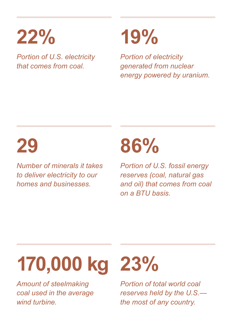**22%**

*Portion of U.S. electricity that comes from coal.*

### **19%**

*Portion of electricity generated from nuclear energy powered by uranium.*

### **29**

*Number of minerals it takes to deliver electricity to our homes and businesses.* 

### **86%**

*Portion of U.S. fossil energy reserves (coal, natural gas and oil) that comes from coal on a BTU basis.*

## **170,000 kg**

*Amount of steelmaking coal used in the average wind turbine.*

### **23%**

*Portion of total world coal reserves held by the U.S. the most of any country.*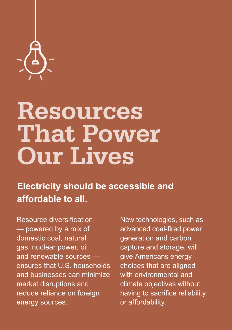### Resources That Power Our Lives

#### **Electricity should be accessible and affordable to all.**

Resource diversification — powered by a mix of domestic coal, natural gas, nuclear power, oil and renewable sources ensures that U.S. households and businesses can minimize market disruptions and reduce reliance on foreign energy sources.

New technologies, such as advanced coal-fired power generation and carbon capture and storage, will give Americans energy choices that are aligned with environmental and climate objectives without having to sacrifice reliability or affordability.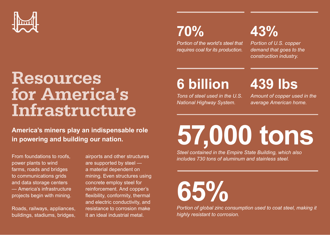

### Resources for America's Infrastructure

**America's miners play an indispensable role in powering and building our nation.**

From foundations to roofs, power plants to wind farms, roads and bridges to communications grids and data storage centers — America's infrastructure projects begin with mining.

Roads, railways, appliances, buildings, stadiums, bridges,

airports and other structures are supported by steel a material dependent on mining. Even structures using concrete employ steel for reinforcement. And copper's flexibility, conformity, thermal and electric conductivity, and resistance to corrosion make it an ideal industrial metal.

### **70%**

*Portion of the world's steel that requires coal for its production.*

### **43%**

*Portion of U.S. copper demand that goes to the construction industry.* 

### **6 billion**

*Tons of steel used in the U.S. National Highway System.* 

### **439 lbs**

*Amount of copper used in the average American home.*

# **57,000 tons**

*Steel contained in the Empire State Building, which also includes 730 tons of aluminum and stainless steel.*

# **65%**

*Portion of global zinc consumption used to coat steel, making it highly resistant to corrosion.*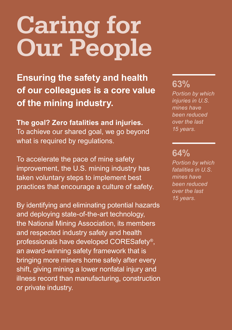## Caring for Our People

**Ensuring the safety and health of our colleagues is a core value of the mining industry.** 

**The goal? Zero fatalities and injuries.** To achieve our shared goal, we go beyond what is required by regulations.

To accelerate the pace of mine safety improvement, the U.S. mining industry has taken voluntary steps to implement best practices that encourage a culture of safety.

By identifying and eliminating potential hazards and deploying state-of-the-art technology, the National Mining Association, its members and respected industry safety and health professionals have developed CORESafety®, an award-winning safety framework that is bringing more miners home safely after every shift, giving mining a lower nonfatal injury and illness record than manufacturing, construction or private industry.

#### **63%**

*Portion by which injuries in U.S. mines have been reduced over the last 15 years.*

#### **64%**

*Portion by which fatalities in U.S. mines have been reduced over the last 15 years.*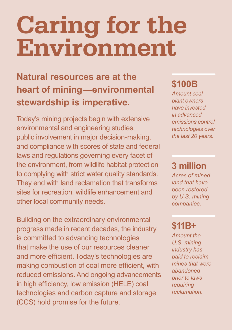## Caring for the Environment

#### **Natural resources are at the heart of mining—environmental stewardship is imperative.**

Today's mining projects begin with extensive environmental and engineering studies, public involvement in major decision-making, and compliance with scores of state and federal laws and regulations governing every facet of the environment, from wildlife habitat protection to complying with strict water quality standards. They end with land reclamation that transforms sites for recreation, wildlife enhancement and other local community needs.

Building on the extraordinary environmental progress made in recent decades, the industry is committed to advancing technologies that make the use of our resources cleaner and more efficient. Today's technologies are making combustion of coal more efficient, with reduced emissions. And ongoing advancements in high efficiency, low emission (HELE) coal technologies and carbon capture and storage (CCS) hold promise for the future.

### **\$100B**

*Amount coal plant owners have invested in advanced emissions control technologies over the last 20 years.*

#### **3 million**

*Acres of mined land that have been restored by U.S. mining companies.*

#### **\$11B+**

*Amount the U.S. mining industry has paid to reclaim mines that were abandoned prior to laws requiring reclamation.*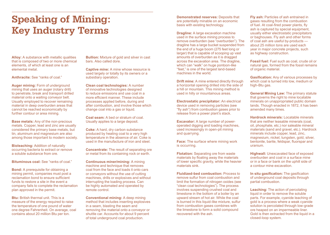### Speaking of Mining: Key Industry Terms

**Alloy:** A substance with metallic qualities that is composed of two or more chemical elements, of which at least one is an elemental metal.

#### **Anthracite:** See "ranks of coal."

**Auger mining:** Form of underground mining that uses an auger (rotary drill) to penetrate, break and transport drilled material onto a waiting conveyor belt. Usually employed to recover remaining material in deep overburden areas that cannot be reached economically by further contour or area mining.

**Base metals:** Any of the non-precious metals. Copper, lead and zinc are usually considered the primary base metals, but tin, aluminum and magnesium are also among those important to modern society.

**Bioleaching:** Addition of naturally occurring bacteria to extract or remove a soluble substance from ore.

**Bituminous coal:** See "ranks of coal."

**Bond:** A prerequisite for obtaining a mining permit, companies must post a reclamation bond to ensure sufficient funds to restore a site in the event a company fails to complete the reclamation plan approved in the permit.

**Btu:** British thermal unit. This is a measure of the energy required to raise the temperature of one pound of water one degree Fahrenheit. On average, coal contains about 20 million Btu per ton.

**Bullion:** Mixture of gold and silver in cast bars. Also called dore.

**Captive mine:** A mine whose resource is used largely or totally by its owners or a subsidiary operation.

**Clean coal technologies:** A number of innovative technologies designed to reduce emissions and use coal in a more efficient manner. These include processes applied before, during and after combustion, and involve those which change coal into a gas or liquid.

**Coal seam:** A bed or stratum of coal. Usually applies to a large deposit.

**Coke:** A hard, dry carbon substance produced by heating coal to a very high temperature in the absence of air. Coke is used in the manufacture of iron and steel.

**Concentrate:** The result of separating ore or metal from its containing rock or earth.

**Continuous miner/mining:** A mining machine and technique that removes coal from the face and loads it onto cars or conveyors without the use of cutting machines, drills or explosives and without interrupting the loading process. Can be highly automated and operated by remote control.

**Conventional mining:** A deep mining method that includes inserting explosives in a seam, blasting the seam and removing the material onto a conveyor or shuttle car. Accounts for about 9 percent of total underground coal production.

**Demonstrated reserves:** Deposits that are potentially minable on an economic basis with existing technology.

**Dragline:** A large excavation machine used in the surface mining process to remove overburden (see "overburden"). The dragline has a large bucket suspended from the end of a huge boom (275 feet long or larger) that is capable of scooping up vast amounts of overburden as it is dragged across the excavation area. The dragline, which can "walk" on huge pontoon-like "feet," is one of the largest land-based machines in the world.

**Drift mine:** A mine entered directly through a horizontal opening drilled into the side of a hill or mountain. This mining method is used in hilly or mountainous areas.

**Electrostatic precipitator:** An electrical device used in removing particles (see "fly ash") from combustion gases prior to release from a power plant's stack.

**Excavator:** A large number of poweroperated digging and loading machines, used increasingly in open-pit mining and quarrying.

**Face:** The surface where mining work is occurring.

**Flotation:** Separating ore from waste materials by floating away the materials of lower specific gravity, while the heavier materials sink.

**Fluidized-bed combustion:** Process to remove sulfur from coal combustion and limit the formation of nitrogen oxides (see "clean coal technologies"). The process involves suspending crushed coal and limestone in the bottom of a boiler by an upward stream of hot air. While the coal is burned in this liquid-like mixture, sulfur from combustion gases combines with the limestone to form a solid compound recovered with the ash.

**Fly ash:** Particles of ash entrained in gases resulting from the combustion of fuel. At coal-fired power plants, fly ash is captured by special equipment, usually either electrostatic precipitators or baghouses. Fly ash and other forms of coal ash are useful by-products about 25 million tons are used each year in major concrete projects, such as highway construction.

**Fossil fuel:** Fuel such as coal, crude oil or natural gas, formed from the fossil remains of organic material.

**Gasification:** Any of various processes by which coal is turned into low, medium or high-Btu gas.

**General Mining Law:** The primary statute that governs the right to mine locatable minerals on unappropriated public domain lands. Though enacted in 1872, it has been amended many times.

**Hardrock minerals:** Locatable minerals that are neither leasable minerals (coal, oil, phosphate, etc.) nor saleable mineral materials (sand and gravel, etc.). Hardrock minerals include copper, lead, zinc, magnesium, nickel, tungsten, gold, silver, bentonite, barite, feldspar, fluorspar and uranium.

**Highwall:** Unexcavated face of exposed overburden and coal in a surface mine or in a face or bank on the uphill side of a contour mine excavation.

**In situ gasification:** The gasification of underground coal deposits through partial combustion.

**Leaching:** The action of percolating liquid in order to remove the soluble parts. For example, cyanide leaching of gold is a process where a weak cyanide solution is percolated through low-grade ore heaped on an impermeable liner. Gold is then extracted from the liquid in a closed-loop system.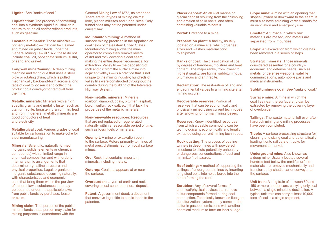#### **Lignite:** See "ranks of coal."

**Liquefaction:** The process of converting coal into a synthetic liquid fuel, similar in nature to crude oil and/or refined products, such as gasoline.

**Locatable minerals:** Those minerals primarily metallic — that can be claimed and mined on public lands under the General Mining Law of 1872; these do not include coal, oil, phosphate sodium, sulfur, or sand and gravel.

**Longwall miner/mining:** A deep mining machine and technique that uses a steel plow or rotating drum, which is pulled mechanically back-and-forth across a long face of coal to loosen it and collect the product on a conveyor for removal from the mine.

**Metallic minerals:** Minerals with a high specific gravity and metallic luster, such as titanium, rutile, tungsten, uranium, tin, lead and iron. In general, metallic minerals are good conductors of heat and electricity.

**Metallurgical coal:** Various grades of coal suitable for carbonization to make coke for steel manufacturing.

**Minerals:** Scientific: naturally formed inorganic solids (elements or chemical compounds) with a limited range in chemical composition and with orderly internal atomic arrangements that determine crystalline structure and physical properties. Legal: organic or inorganic substances occurring naturally, with characteristics and economic uses that bring them within the purview of mineral laws; substances that may be obtained under the applicable laws from public lands by purchase, lease or claim.

**Mining claim:** That portion of the public mineral lands that a person may claim for mining purposes in accordance with the

General Mining Law of 1872, as amended. There are four types of mining claims: lode, placer, millsites and tunnel sites. Only tunnel sites may not be patented under current law.

**Mountaintop mining:** A method of surface mining practiced in the Appalachian coal fields of the eastern United States. Mountaintop mining allows the mine operator to completely remove layers of dirt and rock covering a coal seam, making the entire deposit economical for extraction. Valley fill — the depositing of rock and dirt from the surface mine into adjacent valleys — is a practice that is not unique to the mining industry; hundreds of valley fills were constructed throughout the country during the building of the Interstate Highway System.

**Non-metallic minerals:** Minerals (carbon, diamond, coals, bitumen, asphalt, boron, sulfur, rock salt, etc.) that lack the properties of the metallic minerals.

**Non-renewable resources:** Resources that are not replaced or regenerated naturally within a reasonable period of time, such as fossil fuels or minerals.

**Open pit:** A mine or excavation open to the surface. Refers primarily to mines of metal ores; distinguished from coal surface mines.

**Ore:** Rock that contains important minerals, including metals.

**Outcrop:** Coal that appears at or near the surface.

**Overburden:** Layers of earth and rock covering a coal seam or mineral deposit.

**Patent:** A government deed; a document that conveys legal title to public lands to the patentee.

**Placer deposit:** An alluvial marine or glacial deposit resulting from the crumbling and erosion of solid rocks, and often containing valuable minerals.

**Portal:** Entrance to a mine.

**Preparation plant:** A facility, usually located on a mine site, which crushes, sizes and washes material prior to shipment.

**Ranks of coal:** The classification of coal by degree of hardness, moisture and heat content. The major ranks, from lowest to highest quality, are lignite, subbituminous. bituminous and anthracite.

**Reclamation:** The restoration of land and environmental values to a mining site after mining occurs.

**Recoverable reserves:** Portion of reserves that can be economically and physically mined using current techniques after allowing for normal mining losses.

**Reserves:** Known identified resources from which a usable commodity can be technologically, economically and legally extracted using current mining techniques.

**Rock dusting:** The process of coating tunnels in deep mines with powdered limestone to dilute potentially unhealthy or dangerous concentrations of dust and minimize fire hazards.

**Roof bolting:** A method of supporting the ceilings of underground mines by inserting long steel bolts into holes bored into the strata forming the roof.

**Scrubber:** Any of several forms of chemical/physical devices that remove sulfur compounds formed during coal combustion. Technically known as flue gas desulfurization systems, they combine the sulfur in gaseous emissions with another chemical medium to form an inert sludge.

**Slope mine:** A mine with an opening that slopes upward or downward to the seam. It must also have adjoining vertical shafts for air ventilation and emergency use.

**Smelter:** A furnace in which raw materials are melted, and metals are separated from impurities.

**Stope:** An excavation from which ore has been removed in a series of steps.

**Strategic minerals:** Those minerals considered essential for a country's economic and defense needs, such as metals for defense weapons, satellite communications, automobile parts and medical instruments.

**Subbituminous coal:** See "ranks of coal."

**Surface mine:** A mine in which the coal lies near the surface and can be extracted by removing the covering layer of overburden.

**Tailings:** The waste material left over after hardrock mining and milling processes have been completed.

**Tipple:** A surface processing structure for cleaning and sizing coal and automatically loading it onto rail cars or trucks for movement to market.

**Underground mine:** Also known as a deep mine. Usually located several hundred feet below the earth's surface, materials are removed mechanically and transferred by shuttle car or conveyor to the surface.

**Unit train:** A long train of between 60 and 150 or more hopper cars, carrying only coal between a single mine and destination. A typical unit train can carry at least 10,000 tons of coal in a single shipment.